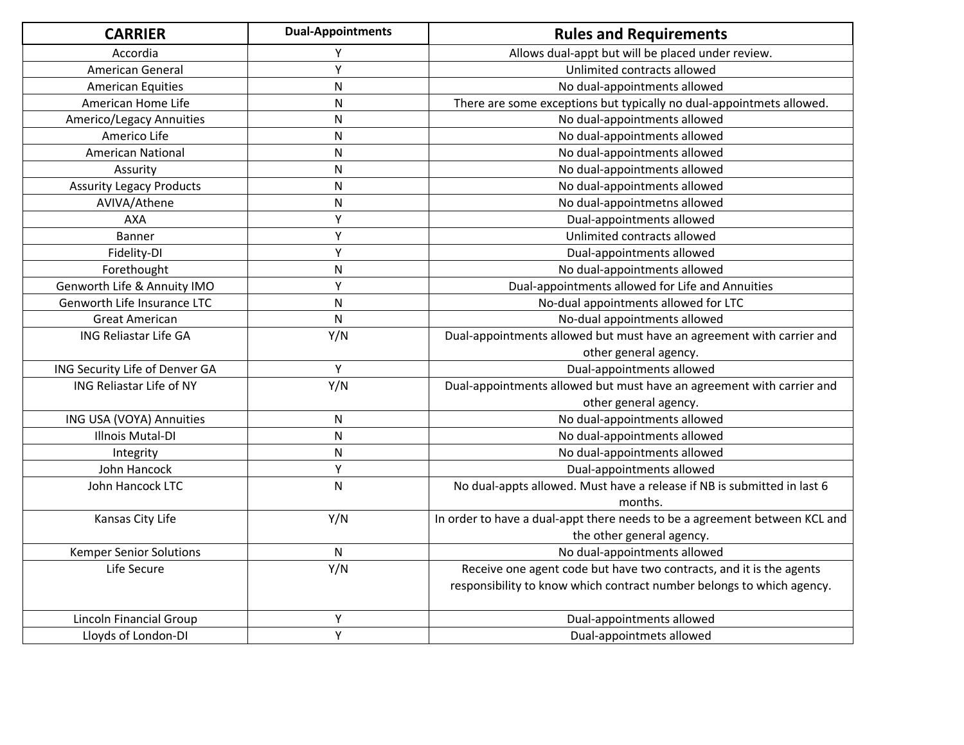| <b>CARRIER</b>                  | <b>Dual-Appointments</b> | <b>Rules and Requirements</b>                                              |
|---------------------------------|--------------------------|----------------------------------------------------------------------------|
| Accordia                        | Υ                        | Allows dual-appt but will be placed under review.                          |
| American General                | Y                        | Unlimited contracts allowed                                                |
| <b>American Equities</b>        | N                        | No dual-appointments allowed                                               |
| American Home Life              | N                        | There are some exceptions but typically no dual-appointmets allowed.       |
| Americo/Legacy Annuities        | N                        | No dual-appointments allowed                                               |
| Americo Life                    | N                        | No dual-appointments allowed                                               |
| <b>American National</b>        | ${\sf N}$                | No dual-appointments allowed                                               |
| Assurity                        | N                        | No dual-appointments allowed                                               |
| <b>Assurity Legacy Products</b> | ${\sf N}$                | No dual-appointments allowed                                               |
| AVIVA/Athene                    | N                        | No dual-appointmetns allowed                                               |
| <b>AXA</b>                      | Υ                        | Dual-appointments allowed                                                  |
| Banner                          | Υ                        | Unlimited contracts allowed                                                |
| Fidelity-DI                     | Y                        | Dual-appointments allowed                                                  |
| Forethought                     | ${\sf N}$                | No dual-appointments allowed                                               |
| Genworth Life & Annuity IMO     | Y                        | Dual-appointments allowed for Life and Annuities                           |
| Genworth Life Insurance LTC     | ${\sf N}$                | No-dual appointments allowed for LTC                                       |
| <b>Great American</b>           | ${\sf N}$                | No-dual appointments allowed                                               |
| <b>ING Reliastar Life GA</b>    | Y/N                      | Dual-appointments allowed but must have an agreement with carrier and      |
|                                 |                          | other general agency.                                                      |
| ING Security Life of Denver GA  | Y                        | Dual-appointments allowed                                                  |
| ING Reliastar Life of NY        | Y/N                      | Dual-appointments allowed but must have an agreement with carrier and      |
|                                 |                          | other general agency.                                                      |
| ING USA (VOYA) Annuities        | ${\sf N}$                | No dual-appointments allowed                                               |
| Illnois Mutal-DI                | ${\sf N}$                | No dual-appointments allowed                                               |
| Integrity                       | N                        | No dual-appointments allowed                                               |
| John Hancock                    | Y                        | Dual-appointments allowed                                                  |
| John Hancock LTC                | ${\sf N}$                | No dual-appts allowed. Must have a release if NB is submitted in last 6    |
|                                 |                          | months.                                                                    |
| Kansas City Life                | Y/N                      | In order to have a dual-appt there needs to be a agreement between KCL and |
|                                 |                          | the other general agency.                                                  |
| <b>Kemper Senior Solutions</b>  | $\mathsf{N}$             | No dual-appointments allowed                                               |
| Life Secure                     | Y/N                      | Receive one agent code but have two contracts, and it is the agents        |
|                                 |                          | responsibility to know which contract number belongs to which agency.      |
| Lincoln Financial Group         | Υ                        | Dual-appointments allowed                                                  |
| Lloyds of London-DI             | $\overline{Y}$           | Dual-appointmets allowed                                                   |